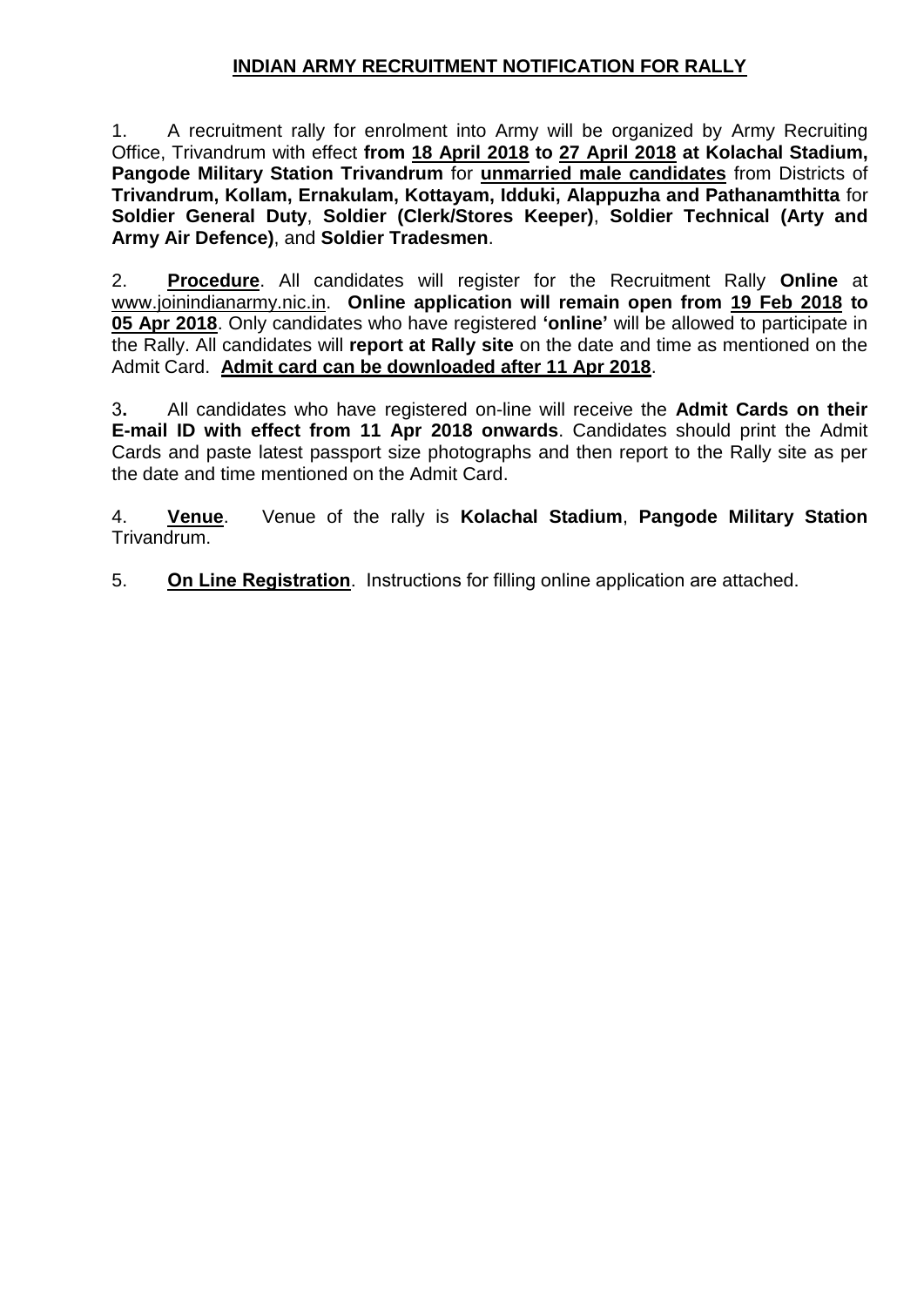# **INDIAN ARMY RECRUITMENT NOTIFICATION FOR RALLY**

1. A recruitment rally for enrolment into Army will be organized by Army Recruiting Office, Trivandrum with effect **from 18 April 2018 to 27 April 2018 at Kolachal Stadium, Pangode Military Station Trivandrum** for **unmarried male candidates** from Districts of **Trivandrum, Kollam, Ernakulam, Kottayam, Idduki, Alappuzha and Pathanamthitta** for **Soldier General Duty**, **Soldier (Clerk/Stores Keeper)**, **Soldier Technical (Arty and Army Air Defence)**, and **Soldier Tradesmen**.

2. **Procedure**. All candidates will register for the Recruitment Rally **Online** at ww[w.joinindianarmy.nic.in.](http://www.joinindianarmy.nic.in/) **Online application will remain open from 19 Feb 2018 to 05 Apr 2018**. Only candidates who have registered **'online'** will be allowed to participate in the Rally. All candidates will **report at Rally site** on the date and time as mentioned on the Admit Card. **Admit card can be downloaded after 11 Apr 2018**.

3**.** All candidates who have registered on-line will receive the **Admit Cards on their E-mail ID with effect from 11 Apr 2018 onwards**. Candidates should print the Admit Cards and paste latest passport size photographs and then report to the Rally site as per the date and time mentioned on the Admit Card.

4. **Venue**. Venue of the rally is **Kolachal Stadium**, **Pangode Military Station** Trivandrum.

5. **On Line Registration**. Instructions for filling online application are attached.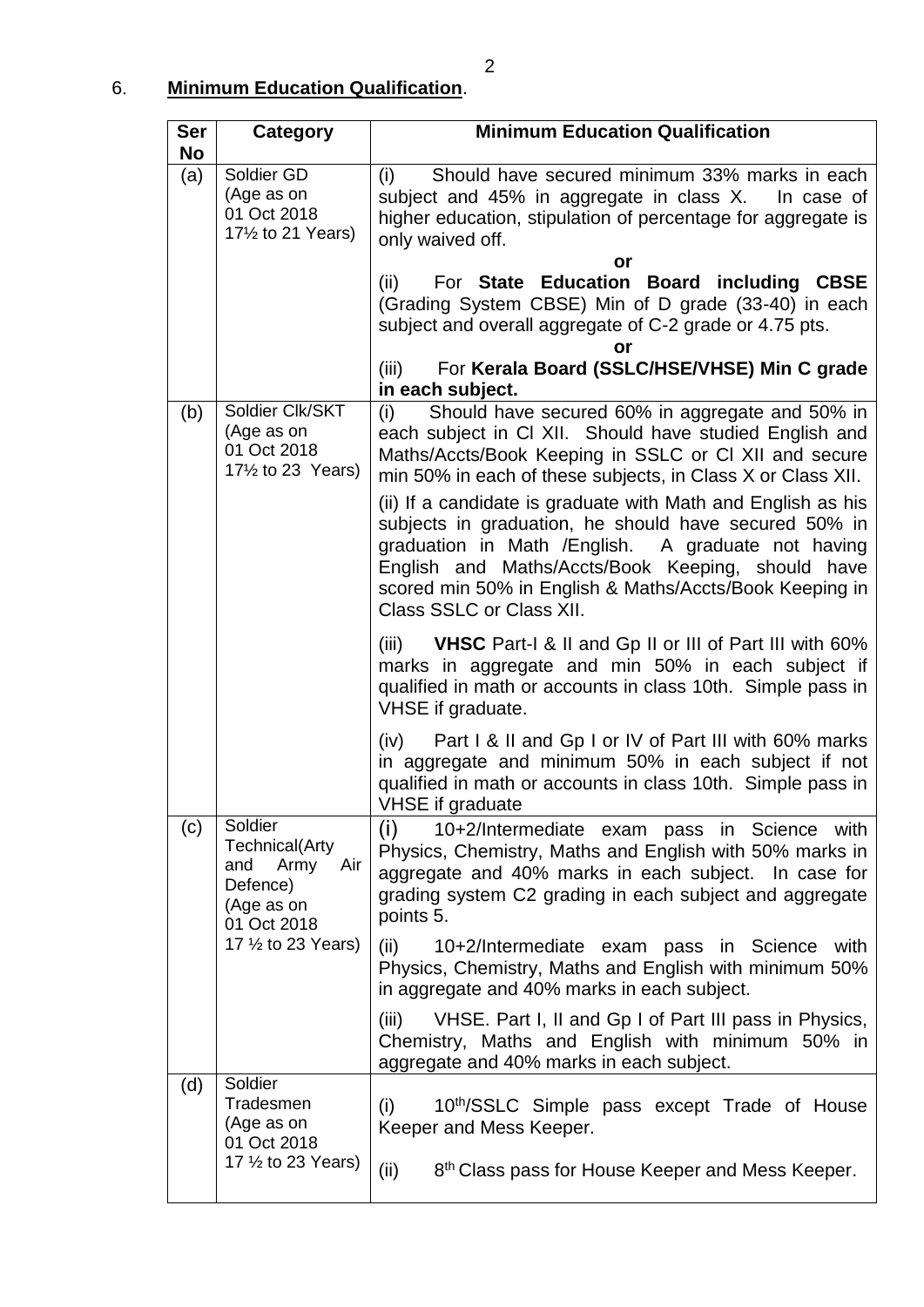# 6. **Minimum Education Qualification**.

| Ser<br><b>No</b> | Category                                                                                         | <b>Minimum Education Qualification</b>                                                                                                                                                                                                                                                                                  |  |  |  |
|------------------|--------------------------------------------------------------------------------------------------|-------------------------------------------------------------------------------------------------------------------------------------------------------------------------------------------------------------------------------------------------------------------------------------------------------------------------|--|--|--|
| (a)              | Soldier GD<br>(Age as on<br>01 Oct 2018<br>171/2 to 21 Years)                                    | Should have secured minimum 33% marks in each<br>(i)<br>subject and 45% in aggregate in class X.  In case of<br>higher education, stipulation of percentage for aggregate is<br>only waived off.<br>or                                                                                                                  |  |  |  |
|                  |                                                                                                  | For State Education Board including CBSE<br>(ii)<br>(Grading System CBSE) Min of D grade (33-40) in each<br>subject and overall aggregate of C-2 grade or 4.75 pts.<br>or                                                                                                                                               |  |  |  |
|                  |                                                                                                  | For Kerala Board (SSLC/HSE/VHSE) Min C grade<br>(iii)<br>in each subject.                                                                                                                                                                                                                                               |  |  |  |
| (b)              | Soldier Clk/SKT<br>(Age as on<br>01 Oct 2018<br>17 <sup>1</sup> / <sub>2</sub> to 23 Years)      | Should have secured 60% in aggregate and 50% in<br>(i)<br>each subject in CI XII. Should have studied English and<br>Maths/Accts/Book Keeping in SSLC or CI XII and secure<br>min 50% in each of these subjects, in Class X or Class XII.                                                                               |  |  |  |
|                  |                                                                                                  | (ii) If a candidate is graduate with Math and English as his<br>subjects in graduation, he should have secured 50% in<br>graduation in Math /English. A graduate not having<br>English and Maths/Accts/Book Keeping, should have<br>scored min 50% in English & Maths/Accts/Book Keeping in<br>Class SSLC or Class XII. |  |  |  |
|                  |                                                                                                  | (iii) <b>VHSC</b> Part-1 & II and Gp II or III of Part III with $60\%$<br>marks in aggregate and min 50% in each subject if<br>qualified in math or accounts in class 10th. Simple pass in<br>VHSE if graduate.                                                                                                         |  |  |  |
|                  |                                                                                                  | Part I & II and Gp I or IV of Part III with 60% marks<br>(iv)<br>in aggregate and minimum 50% in each subject if not<br>qualified in math or accounts in class 10th. Simple pass in<br><b>VHSE</b> if graduate                                                                                                          |  |  |  |
| (c)              | Soldier<br><b>Technical</b> (Arty<br>Army<br>and<br>Air<br>Defence)<br>(Age as on<br>01 Oct 2018 | (i)<br>10+2/Intermediate exam pass in Science with<br>Physics, Chemistry, Maths and English with 50% marks in<br>aggregate and 40% marks in each subject. In case for<br>grading system C2 grading in each subject and aggregate<br>points 5.                                                                           |  |  |  |
|                  | 17 1/2 to 23 Years)                                                                              | (ii)<br>10+2/Intermediate exam pass in Science<br>with<br>Physics, Chemistry, Maths and English with minimum 50%<br>in aggregate and 40% marks in each subject.                                                                                                                                                         |  |  |  |
|                  |                                                                                                  | VHSE. Part I, II and Gp I of Part III pass in Physics,<br>(iii)<br>Chemistry, Maths and English with minimum 50% in<br>aggregate and 40% marks in each subject.                                                                                                                                                         |  |  |  |
| (d)              | Soldier<br>Tradesmen<br>(Age as on<br>01 Oct 2018                                                | 10th/SSLC Simple pass except Trade of House<br>(i)<br>Keeper and Mess Keeper.                                                                                                                                                                                                                                           |  |  |  |
|                  | 17 1/2 to 23 Years)                                                                              | 8 <sup>th</sup> Class pass for House Keeper and Mess Keeper.<br>(ii)                                                                                                                                                                                                                                                    |  |  |  |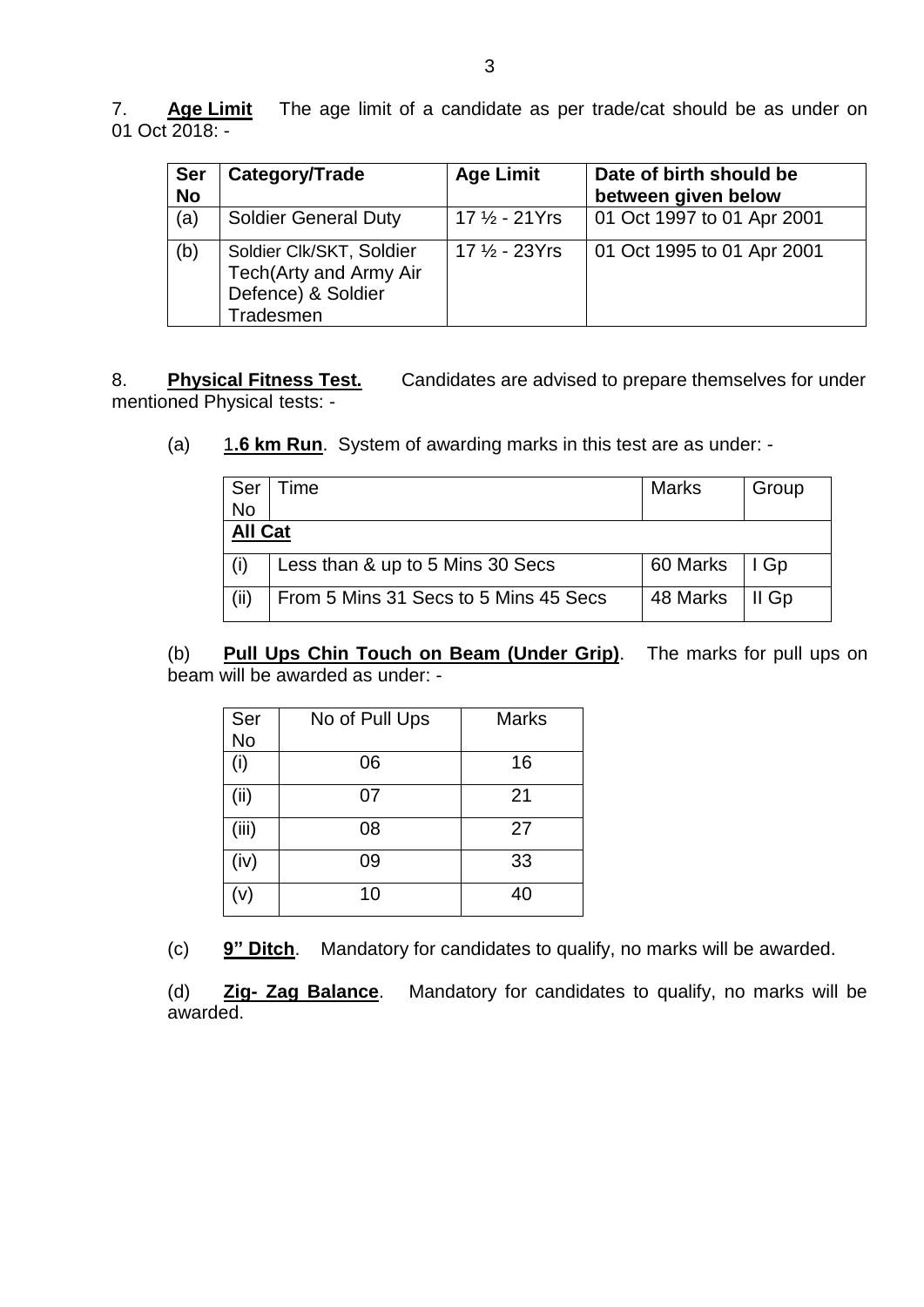7. **Age Limit** The age limit of a candidate as per trade/cat should be as under on 01 Oct 2018: -

| <b>Ser</b><br><b>No</b> | Category/Trade                                                                        | <b>Age Limit</b>         | Date of birth should be<br>between given below |
|-------------------------|---------------------------------------------------------------------------------------|--------------------------|------------------------------------------------|
| (a)                     | <b>Soldier General Duty</b>                                                           | $17\frac{1}{2}$ - 21 Yrs | 01 Oct 1997 to 01 Apr 2001                     |
| (b)                     | Soldier Clk/SKT, Soldier<br>Tech(Arty and Army Air<br>Defence) & Soldier<br>Tradesmen | $17\frac{1}{2}$ - 23Yrs  | 01 Oct 1995 to 01 Apr 2001                     |

8. **Physical Fitness Test.** Candidates are advised to prepare themselves for under mentioned Physical tests: -

(a) 1**.6 km Run**. System of awarding marks in this test are as under: -

| Ser<br><b>No</b> | Time                                  | <b>Marks</b>    | Group   |
|------------------|---------------------------------------|-----------------|---------|
| <b>All Cat</b>   |                                       |                 |         |
|                  | Less than & up to 5 Mins 30 Secs      | 60 Marks   I Gp |         |
| (ii)             | From 5 Mins 31 Secs to 5 Mins 45 Secs | 48 Marks        | l II Gp |

(b) **Pull Ups Chin Touch on Beam (Under Grip)**. The marks for pull ups on beam will be awarded as under: -

| Ser   | No of Pull Ups | <b>Marks</b> |
|-------|----------------|--------------|
| No    |                |              |
| (i)   | 06             | 16           |
| (iii) | 07             | 21           |
| (iii) | 08             | 27           |
| (iv)  | 09             | 33           |
| (v)   | 10             | 40           |

(c) **9" Ditch**. Mandatory for candidates to qualify, no marks will be awarded.

(d) **Zig- Zag Balance**. Mandatory for candidates to qualify, no marks will be awarded.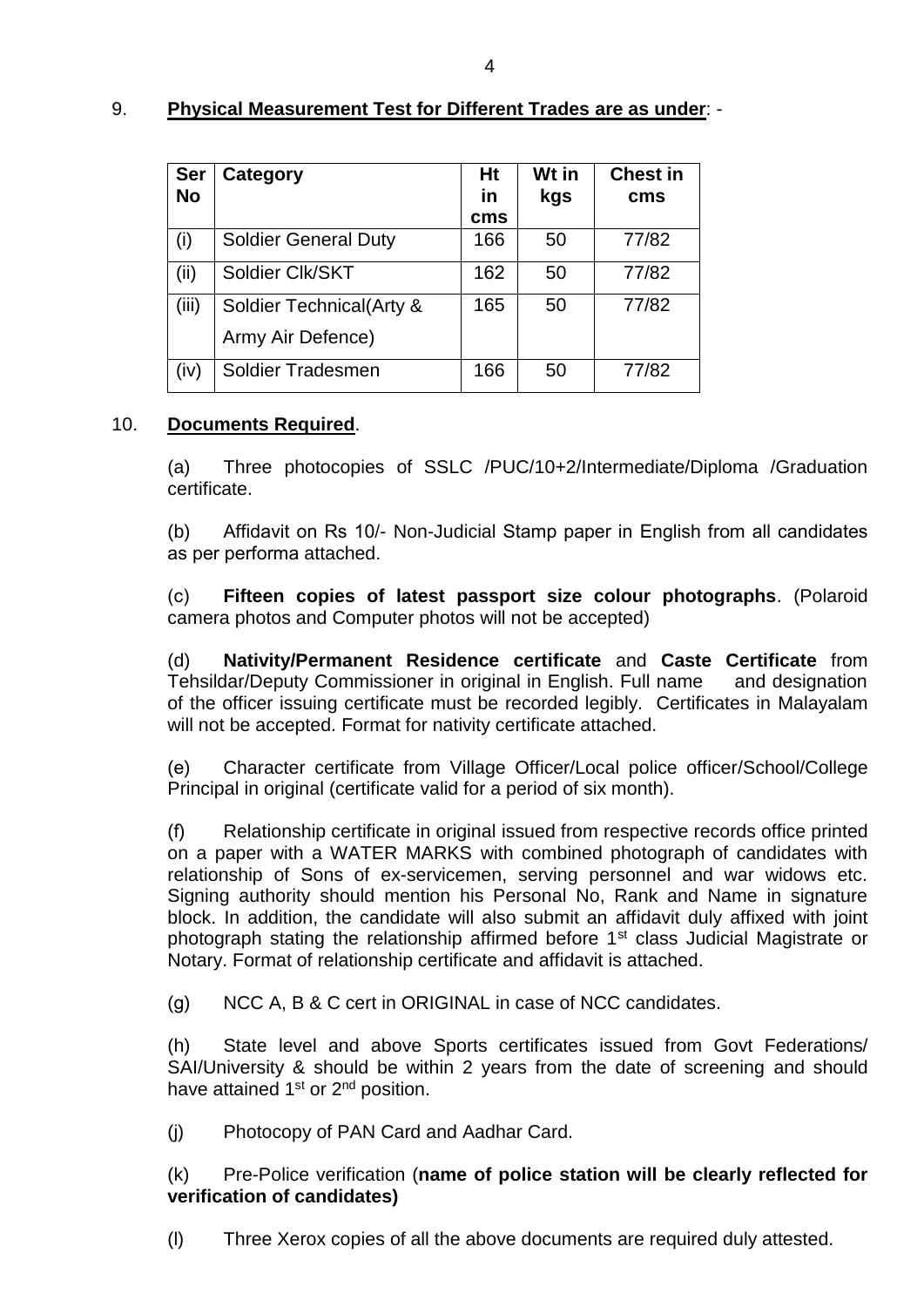# 9. **Physical Measurement Test for Different Trades are as under**: -

| <b>Ser</b><br><b>No</b> | Category                    | Ht<br>in<br>cms | Wt in<br>kgs | <b>Chest in</b><br>cms |
|-------------------------|-----------------------------|-----------------|--------------|------------------------|
| (i)                     | <b>Soldier General Duty</b> | 166             | 50           | 77/82                  |
| (ii)                    | Soldier Clk/SKT             | 162             | 50           | 77/82                  |
| (iii)                   | Soldier Technical (Arty &   | 165             | 50           | 77/82                  |
|                         | Army Air Defence)           |                 |              |                        |
| (iv)                    | Soldier Tradesmen           | 166             | 50           | 77/82                  |

# 10. **Documents Required**.

(a) Three photocopies of SSLC /PUC/10+2/Intermediate/Diploma /Graduation certificate.

(b) Affidavit on Rs 10/- Non-Judicial Stamp paper in English from all candidates as per performa attached.

)c( **Fifteen copies of latest passport size colour photographs**. (Polaroid camera photos and Computer photos will not be accepted)

(d) **Nativity/Permanent Residence certificate** and **Caste Certificate** from Tehsildar/Deputy Commissioner in original in English. Full name and designation of the officer issuing certificate must be recorded legibly. Certificates in Malayalam will not be accepted. Format for nativity certificate attached.

(e) Character certificate from Village Officer/Local police officer/School/College Principal in original (certificate valid for a period of six month).

(f) Relationship certificate in original issued from respective records office printed on a paper with a WATER MARKS with combined photograph of candidates with relationship of Sons of ex-servicemen, serving personnel and war widows etc. Signing authority should mention his Personal No, Rank and Name in signature block. In addition, the candidate will also submit an affidavit duly affixed with joint photograph stating the relationship affirmed before 1<sup>st</sup> class Judicial Magistrate or Notary. Format of relationship certificate and affidavit is attached.

(g) NCC A, B & C cert in ORIGINAL in case of NCC candidates.

(h) State level and above Sports certificates issued from Govt Federations/ SAI/University & should be within 2 years from the date of screening and should have attained 1<sup>st</sup> or 2<sup>nd</sup> position.

(j) Photocopy of PAN Card and Aadhar Card.

(k) Pre-Police verification (**name of police station will be clearly reflected for verification of candidates)** 

(l) Three Xerox copies of all the above documents are required duly attested.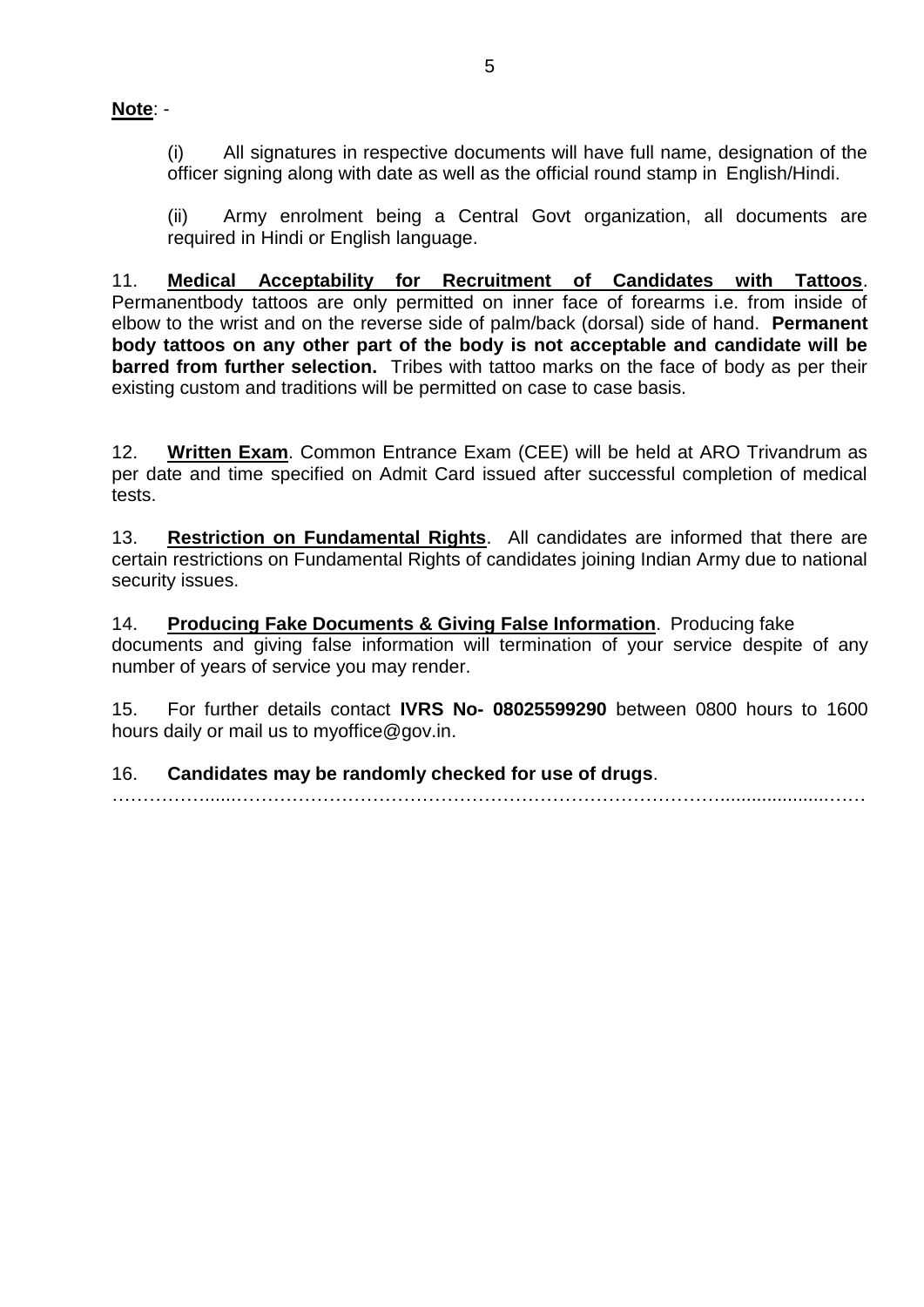**Note**: -

(i) All signatures in respective documents will have full name, designation of the officer signing along with date as well as the official round stamp in English/Hindi.

(ii) Army enrolment being a Central Govt organization, all documents are required in Hindi or English language.

11. **Medical Acceptability for Recruitment of Candidates with Tattoos**. Permanentbody tattoos are only permitted on inner face of forearms i.e. from inside of elbow to the wrist and on the reverse side of palm/back (dorsal) side of hand. **Permanent body tattoos on any other part of the body is not acceptable and candidate will be barred from further selection.** Tribes with tattoo marks on the face of body as per their existing custom and traditions will be permitted on case to case basis.

12. **Written Exam**. Common Entrance Exam (CEE) will be held at ARO Trivandrum as per date and time specified on Admit Card issued after successful completion of medical tests.

13. **Restriction on Fundamental Rights**. All candidates are informed that there are certain restrictions on Fundamental Rights of candidates joining Indian Army due to national security issues.

14. **Producing Fake Documents & Giving False Information**. Producing fake documents and giving false information will termination of your service despite of any number of years of service you may render.

15. For further details contact **IVRS No- 08025599290** between 0800 hours to 1600 hours daily or mail us to myoffice@gov.in.

……………......…………………………………………………………………….....................……

16. **Candidates may be randomly checked for use of drugs**.

5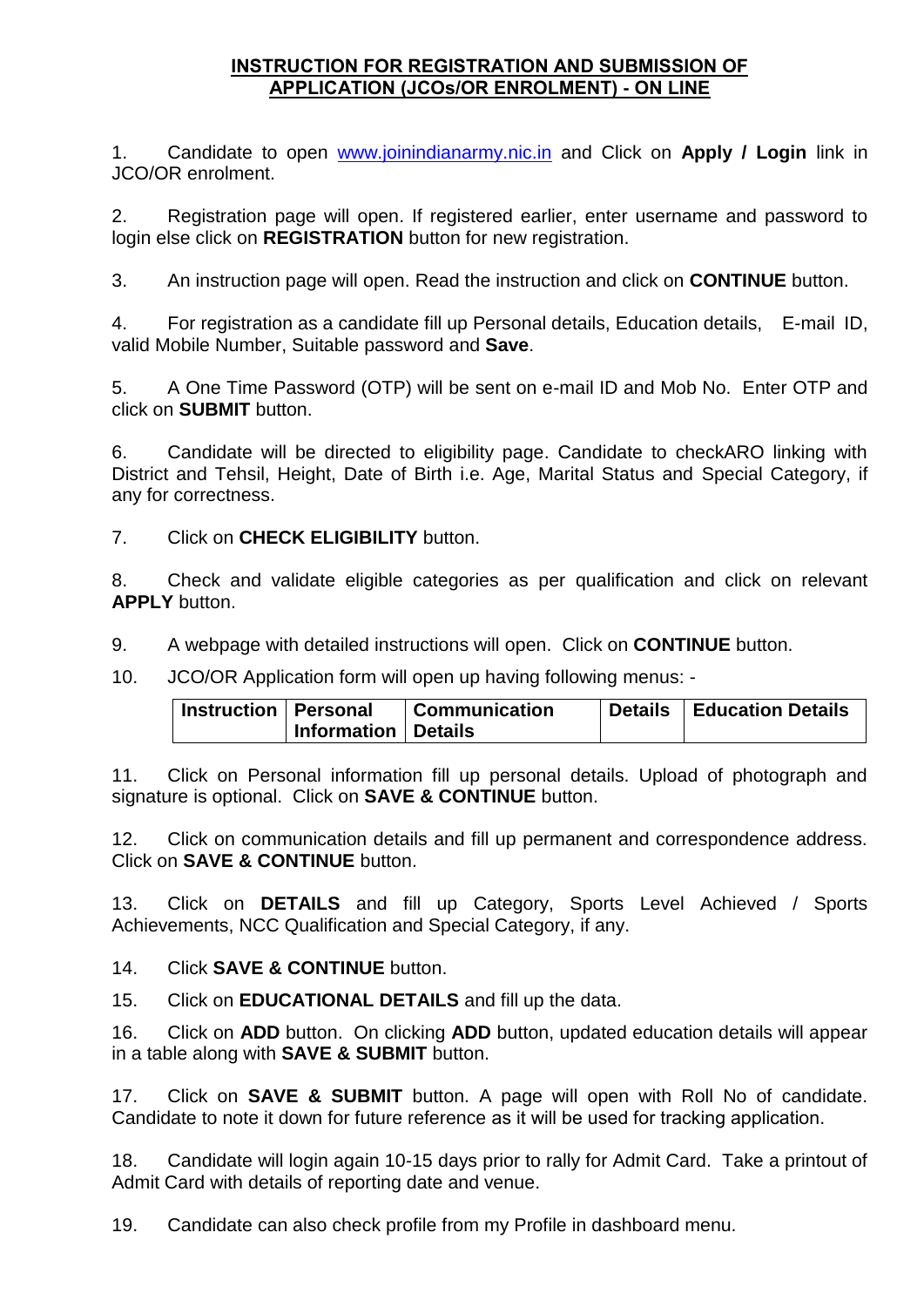# **INSTRUCTION FOR REGISTRATION AND SUBMISSION OF APPLICATION (JCOs/OR ENROLMENT) - ON LINE**

1. Candidate to open [www.joinindianarmy.nic.in](http://www.joinindianarmy.nic.in/) and Click on **Apply / Login** link in JCO/OR enrolment.

2. Registration page will open. If registered earlier, enter username and password to login else click on **REGISTRATION** button for new registration.

3. An instruction page will open. Read the instruction and click on **CONTINUE** button.

4. For registration as a candidate fill up Personal details, Education details, E-mail ID, valid Mobile Number, Suitable password and **Save**.

5. A One Time Password (OTP) will be sent on e-mail ID and Mob No. Enter OTP and click on **SUBMIT** button.

6. Candidate will be directed to eligibility page. Candidate to checkARO linking with District and Tehsil, Height, Date of Birth i.e. Age, Marital Status and Special Category, if any for correctness.

7. Click on **CHECK ELIGIBILITY** button.

8. Check and validate eligible categories as per qualification and click on relevant **APPLY** button.

9. A webpage with detailed instructions will open. Click on **CONTINUE** button.

10. JCO/OR Application form will open up having following menus: -

| Instruction   Personal |                       | Communication | <b>Details   Education Details</b> |
|------------------------|-----------------------|---------------|------------------------------------|
|                        | Information   Details |               |                                    |

11. Click on Personal information fill up personal details. Upload of photograph and signature is optional. Click on **SAVE & CONTINUE** button.

12. Click on communication details and fill up permanent and correspondence address. Click on **SAVE & CONTINUE** button.

13. Click on **DETAILS** and fill up Category, Sports Level Achieved / Sports Achievements, NCC Qualification and Special Category, if any.

14. Click **SAVE & CONTINUE** button.

15. Click on **EDUCATIONAL DETAILS** and fill up the data.

16. Click on **ADD** button. On clicking **ADD** button, updated education details will appear in a table along with **SAVE & SUBMIT** button.

17. Click on **SAVE & SUBMIT** button. A page will open with Roll No of candidate. Candidate to note it down for future reference as it will be used for tracking application.

18. Candidate will login again 10-15 days prior to rally for Admit Card. Take a printout of Admit Card with details of reporting date and venue.

19. Candidate can also check profile from my Profile in dashboard menu.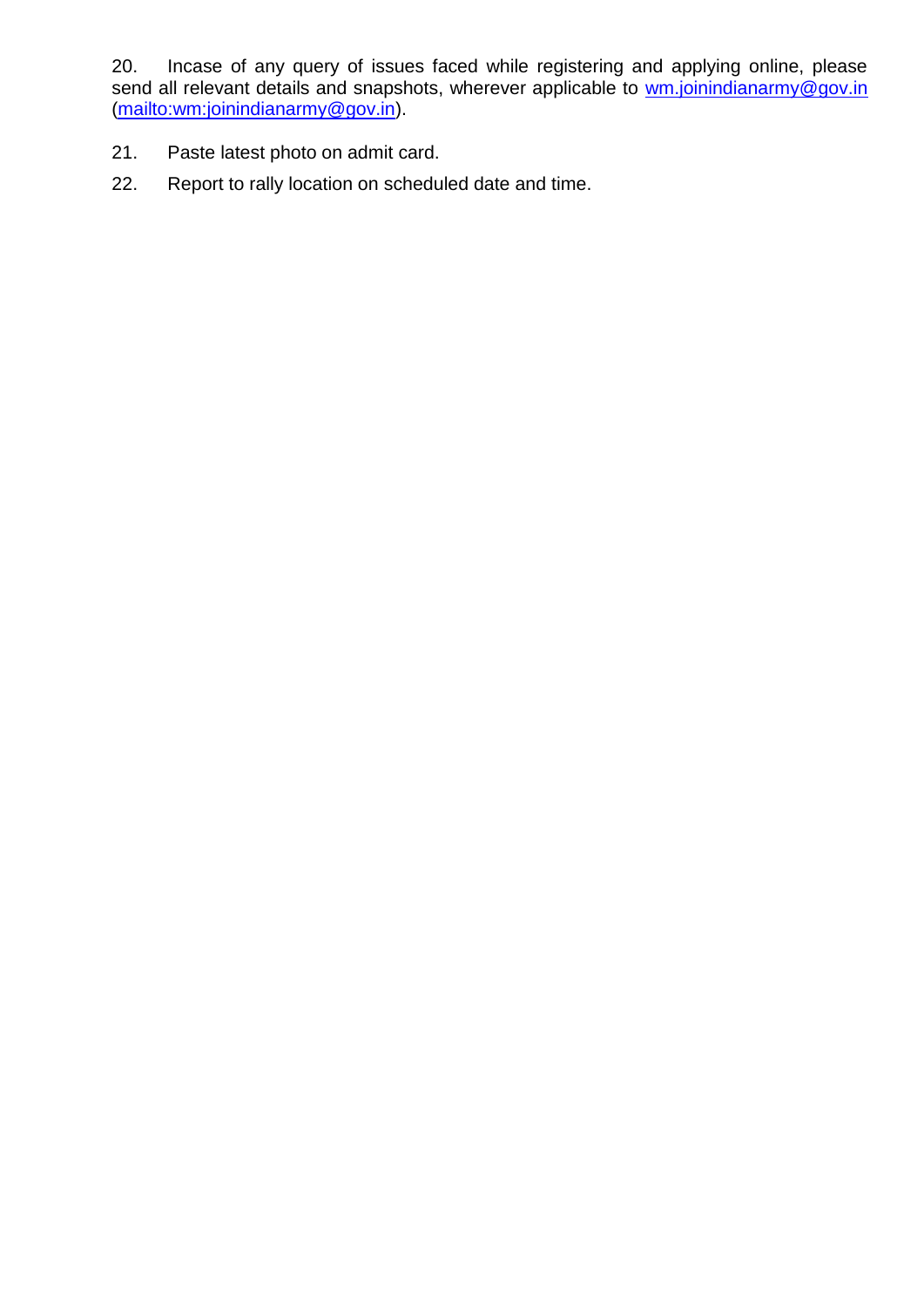20. Incase of any query of issues faced while registering and applying online, please send all relevant details and snapshots, wherever applicable to [wm.joinindianarmy@gov.in](mailto:wm.joinindianarmy@gov.in) [\(mailto:wm:joinindianarmy@gov.in\)](mailto:wm:joinindianarmy@gov.in).

- 21. Paste latest photo on admit card.
- 22. Report to rally location on scheduled date and time.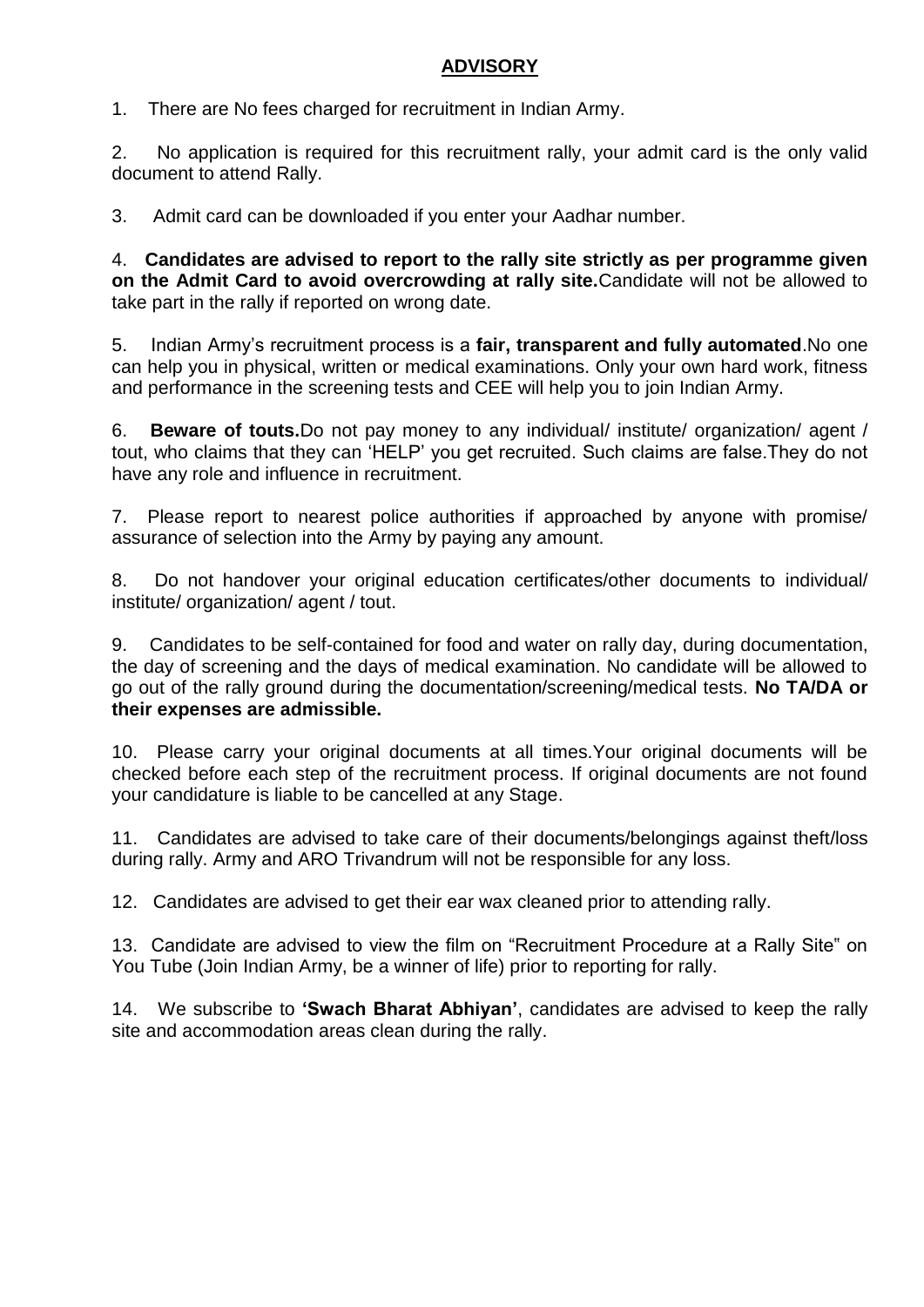# **ADVISORY**

1. There are No fees charged for recruitment in Indian Army.

2. No application is required for this recruitment rally, your admit card is the only valid document to attend Rally.

3. Admit card can be downloaded if you enter your Aadhar number.

4. **Candidates are advised to report to the rally site strictly as per programme given on the Admit Card to avoid overcrowding at rally site.**Candidate will not be allowed to take part in the rally if reported on wrong date.

5. Indian Army's recruitment process is a **fair, transparent and fully automated**.No one can help you in physical, written or medical examinations. Only your own hard work, fitness and performance in the screening tests and CEE will help you to join Indian Army.

6. **Beware of touts.**Do not pay money to any individual/ institute/ organization/ agent / tout, who claims that they can 'HELP' you get recruited. Such claims are false.They do not have any role and influence in recruitment.

7. Please report to nearest police authorities if approached by anyone with promise/ assurance of selection into the Army by paying any amount.

8. Do not handover your original education certificates/other documents to individual/ institute/ organization/ agent / tout.

9. Candidates to be self-contained for food and water on rally day, during documentation, the day of screening and the days of medical examination. No candidate will be allowed to go out of the rally ground during the documentation/screening/medical tests. **No TA/DA or their expenses are admissible.** 

10. Please carry your original documents at all times.Your original documents will be checked before each step of the recruitment process. If original documents are not found your candidature is liable to be cancelled at any Stage.

11. Candidates are advised to take care of their documents/belongings against theft/loss during rally. Army and ARO Trivandrum will not be responsible for any loss.

12. Candidates are advised to get their ear wax cleaned prior to attending rally.

13. Candidate are advised to view the film on "Recruitment Procedure at a Rally Site" on You Tube (Join Indian Army, be a winner of life) prior to reporting for rally.

14. We subscribe to **'Swach Bharat Abhiyan'**, candidates are advised to keep the rally site and accommodation areas clean during the rally.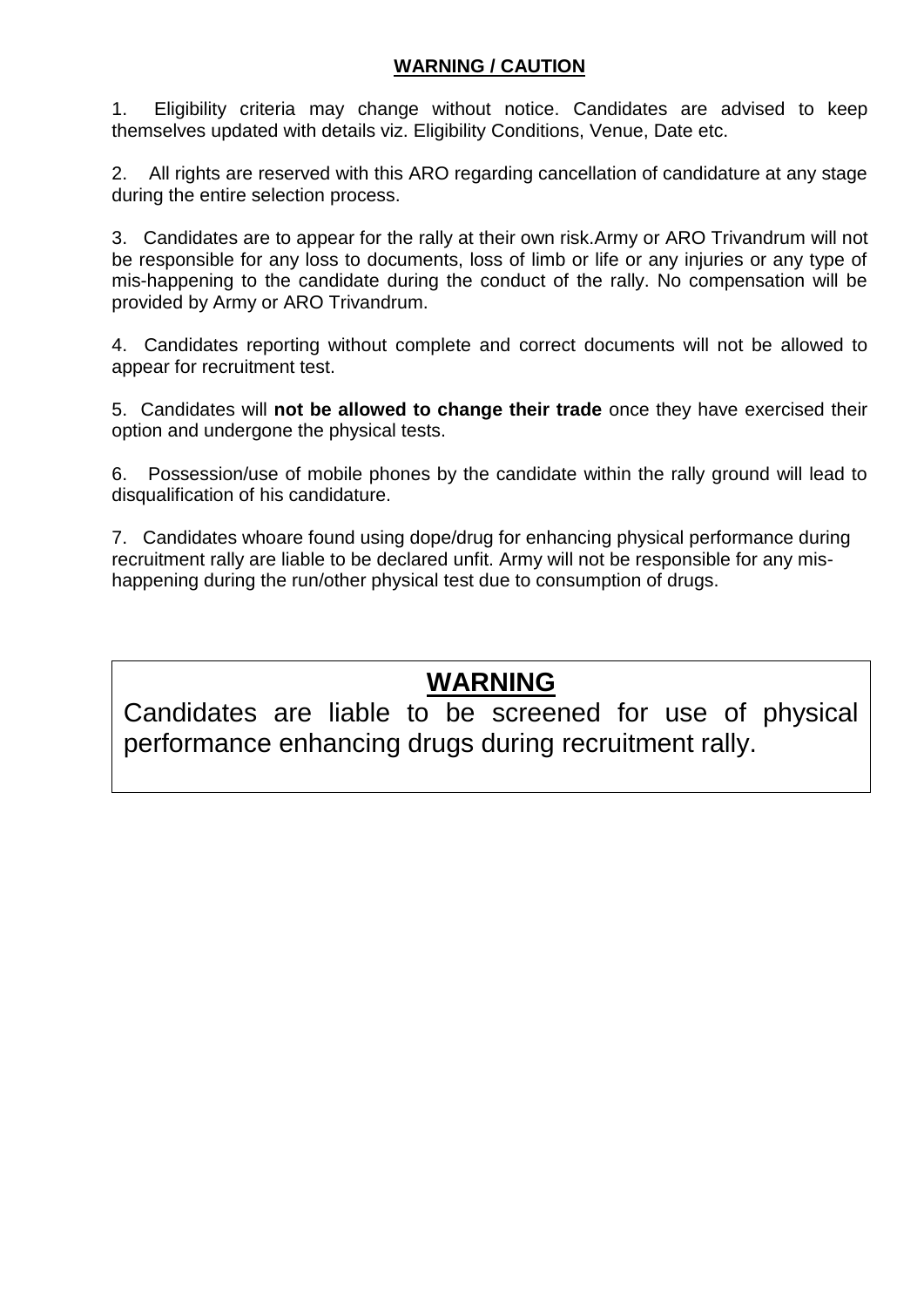# **WARNING / CAUTION**

1. Eligibility criteria may change without notice. Candidates are advised to keep themselves updated with details viz. Eligibility Conditions, Venue, Date etc.

2. All rights are reserved with this ARO regarding cancellation of candidature at any stage during the entire selection process.

3. Candidates are to appear for the rally at their own risk.Army or ARO Trivandrum will not be responsible for any loss to documents, loss of limb or life or any injuries or any type of mis-happening to the candidate during the conduct of the rally. No compensation will be provided by Army or ARO Trivandrum.

4. Candidates reporting without complete and correct documents will not be allowed to appear for recruitment test.

5. Candidates will **not be allowed to change their trade** once they have exercised their option and undergone the physical tests.

6. Possession/use of mobile phones by the candidate within the rally ground will lead to disqualification of his candidature.

7. Candidates whoare found using dope/drug for enhancing physical performance during recruitment rally are liable to be declared unfit. Army will not be responsible for any mishappening during the run/other physical test due to consumption of drugs.

# **WARNING**

Candidates are liable to be screened for use of physical performance enhancing drugs during recruitment rally.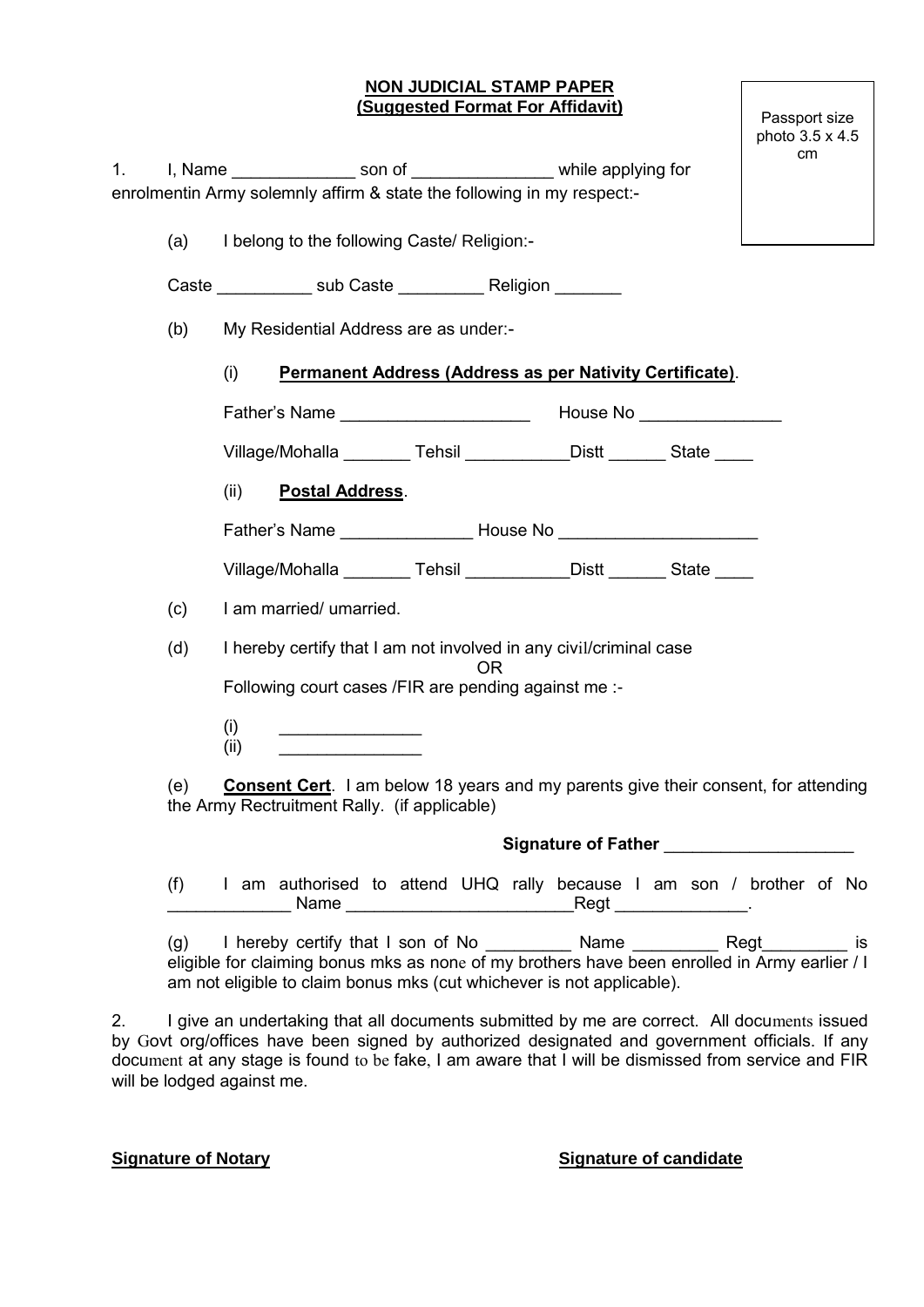### **NON JUDICIAL STAMP PAPER (Suggested Format For Affidavit)**

Passport size photo 3.5 x 4.5 cm

|     |             | enrolmentin Army solemnly affirm & state the following in my respect:-                                                                    |  |  |  |                                                          |                                                                      |
|-----|-------------|-------------------------------------------------------------------------------------------------------------------------------------------|--|--|--|----------------------------------------------------------|----------------------------------------------------------------------|
| (a) |             | I belong to the following Caste/ Religion:-                                                                                               |  |  |  |                                                          |                                                                      |
|     |             |                                                                                                                                           |  |  |  |                                                          |                                                                      |
| (b) |             | My Residential Address are as under:-                                                                                                     |  |  |  |                                                          |                                                                      |
|     | (i)         |                                                                                                                                           |  |  |  | Permanent Address (Address as per Nativity Certificate). |                                                                      |
|     |             |                                                                                                                                           |  |  |  |                                                          |                                                                      |
|     |             | Village/Mohalla _________ Tehsil ____________ Distt _______ State _____                                                                   |  |  |  |                                                          |                                                                      |
|     | (ii)        | <b>Postal Address.</b>                                                                                                                    |  |  |  |                                                          |                                                                      |
|     |             | Father's Name _______________________House No __________________________________                                                          |  |  |  |                                                          |                                                                      |
|     |             | Village/Mohalla _________ Tehsil _____________Distt _______ State _____                                                                   |  |  |  |                                                          |                                                                      |
| (c) |             | I am married/ umarried.                                                                                                                   |  |  |  |                                                          |                                                                      |
| (d) |             | I hereby certify that I am not involved in any civil/criminal case                                                                        |  |  |  |                                                          |                                                                      |
|     |             | 0R<br>Following court cases /FIR are pending against me :-                                                                                |  |  |  |                                                          |                                                                      |
|     | (i)<br>(ii) |                                                                                                                                           |  |  |  |                                                          |                                                                      |
| (e) |             | <b>Consent Cert.</b> I am below 18 years and my parents give their consent, for attending<br>the Army Rectruitment Rally. (if applicable) |  |  |  |                                                          |                                                                      |
|     |             |                                                                                                                                           |  |  |  |                                                          |                                                                      |
| (f) |             |                                                                                                                                           |  |  |  |                                                          | I am authorised to attend UHQ rally because I am son / brother of No |

 $(g)$  I hereby certify that I son of No  $\blacksquare$  Name  $\blacksquare$  Regt is eligible for claiming bonus mks as none of my brothers have been enrolled in Army earlier / I am not eligible to claim bonus mks (cut whichever is not applicable).

6. I give an undertaking that all documents submitted by me are correct. All documents issued by Govt org/offices have been signed by authorized designated and government officials. If any document at any stage is found to be fake, I am aware that I will be dismissed from service and FIR will be lodged against me.

### **Signature of Notary Signature of candidate**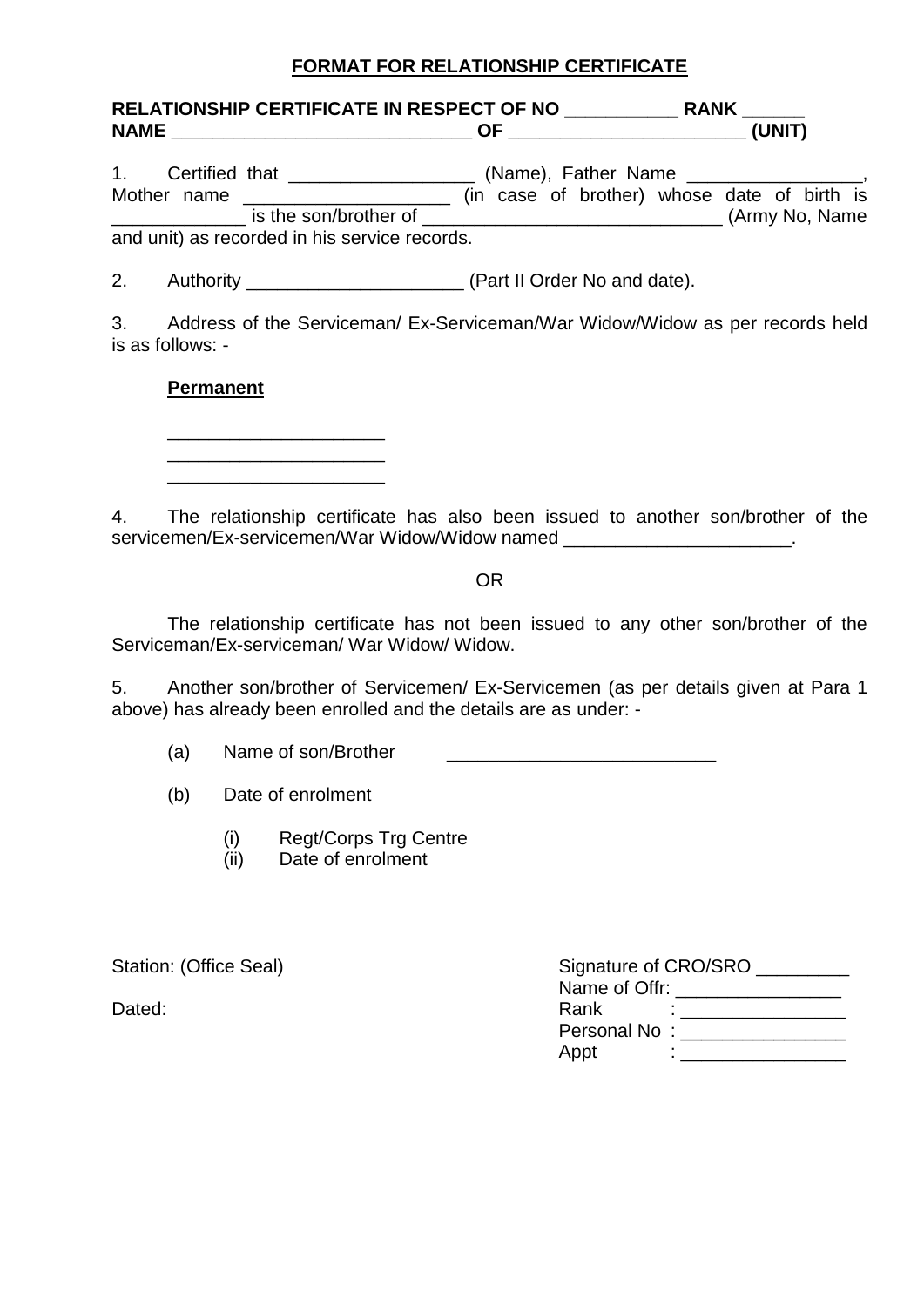# **FORMAT FOR RELATIONSHIP CERTIFICATE**

|                  |                                               | 1. Certified that ______________________ (Name), Father Name ___________________,<br>Mother name _____________________________ (in case of brother) whose date of birth is |
|------------------|-----------------------------------------------|----------------------------------------------------------------------------------------------------------------------------------------------------------------------------|
|                  | and unit) as recorded in his service records. |                                                                                                                                                                            |
|                  |                                               |                                                                                                                                                                            |
| is as follows: - |                                               | 3. Address of the Serviceman/ Ex-Serviceman/War Widow/Widow as per records held                                                                                            |
| <b>Dormanont</b> |                                               |                                                                                                                                                                            |

# **Permanent**

\_\_\_\_\_\_\_\_\_\_\_\_\_\_\_\_\_\_\_\_\_ \_\_\_\_\_\_\_\_\_\_\_\_\_\_\_\_\_\_\_\_\_ \_\_\_\_\_\_\_\_\_\_\_\_\_\_\_\_\_\_\_\_\_

4. The relationship certificate has also been issued to another son/brother of the servicemen/Ex-servicemen/War Widow/Widow named \_\_\_\_\_\_\_\_\_\_\_\_\_\_\_\_\_\_\_\_\_\_\_\_\_\_\_\_\_\_\_\_\_

# OR

The relationship certificate has not been issued to any other son/brother of the Serviceman/Ex-serviceman/ War Widow/ Widow.

5. Another son/brother of Servicemen/ Ex-Servicemen (as per details given at Para 1 above) has already been enrolled and the details are as under: -

(a) Name of son/Brother  $\blacksquare$ 

(b) Date of enrolment

- (i) Regt/Corps Trg Centre
- (ii) Date of enrolment

Station: (Office Seal) Signature of CRO/SRO \_\_\_\_\_\_\_\_\_ Name of Offr: Dated: 2008. The contract of the contract of the Rank  $\sim$  2011. The contract of the contract of the contract of the contract of the contract of the contract of the contract of the contract of the contract of the contract Personal No : \_\_\_\_\_\_\_\_\_\_\_\_\_\_\_\_ Appt : \_\_\_\_\_\_\_\_\_\_\_\_\_\_\_\_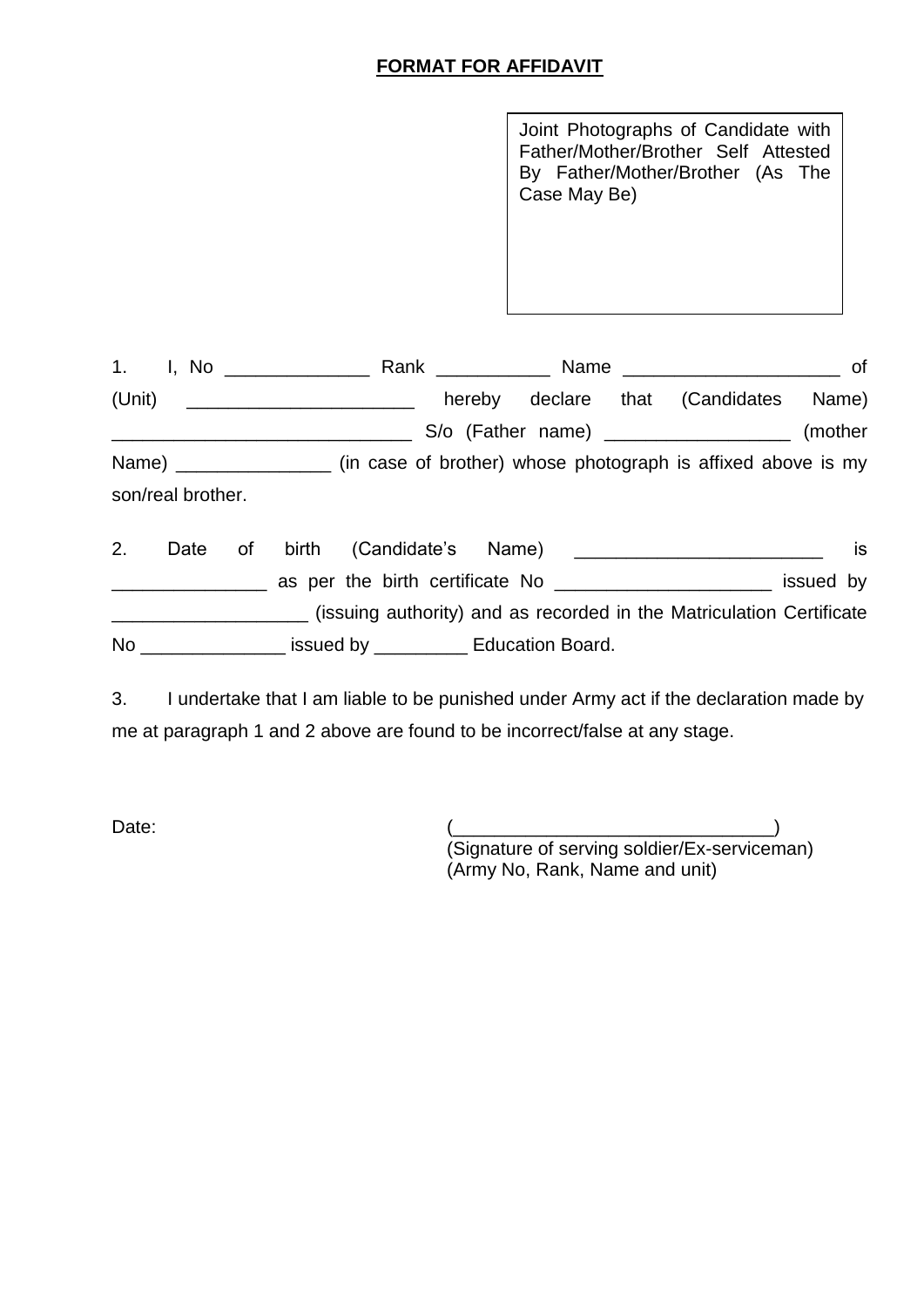# **FORMAT FOR AFFIDAVIT**

Joint Photographs of Candidate with Father/Mother/Brother Self Attested By Father/Mother/Brother (As The Case May Be)

| 1. I, No _______________                                                               |                                                  |  |  |
|----------------------------------------------------------------------------------------|--------------------------------------------------|--|--|
| (Unit) ____________________________                                                    | hereby declare that (Candidates Name)            |  |  |
|                                                                                        | S/o (Father name) ______________________ (mother |  |  |
| Name) ___________________ (in case of brother) whose photograph is affixed above is my |                                                  |  |  |
| son/real brother.                                                                      |                                                  |  |  |
|                                                                                        |                                                  |  |  |

2. Date of birth (Candidate's Name) **confirmation** is \_\_\_\_\_\_\_\_\_\_\_\_\_\_\_ as per the birth certificate No \_\_\_\_\_\_\_\_\_\_\_\_\_\_\_\_\_\_\_\_\_ issued by \_\_\_\_\_\_\_\_\_\_\_\_\_\_\_\_\_\_\_ (issuing authority) and as recorded in the Matriculation Certificate No \_\_\_\_\_\_\_\_\_\_\_\_\_\_\_\_\_\_ issued by \_\_\_\_\_\_\_\_\_\_\_\_ Education Board.

3. I undertake that I am liable to be punished under Army act if the declaration made by me at paragraph 1 and 2 above are found to be incorrect/false at any stage.

Date: (\_\_\_\_\_\_\_\_\_\_\_\_\_\_\_\_\_\_\_\_\_\_\_\_\_\_\_\_\_\_\_) (Signature of serving soldier/Ex-serviceman) (Army No, Rank, Name and unit)